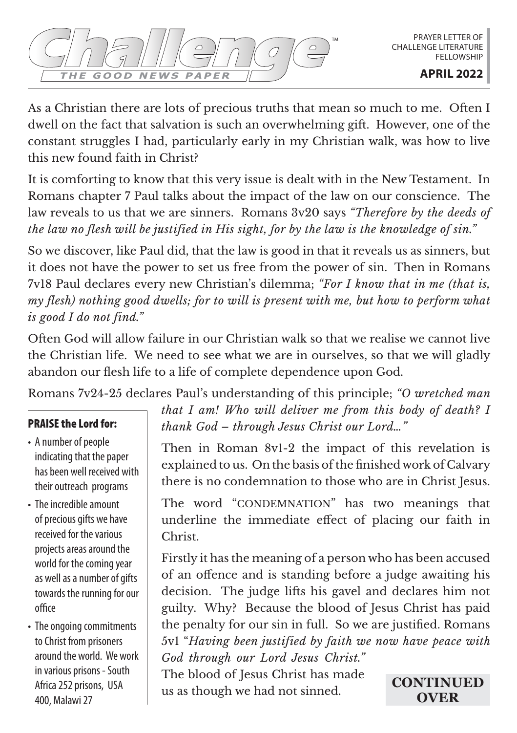As a Christian there are lots of precious truths that mean so much to me. Often I dwell on the fact that salvation is such an overwhelming gift. However, one of the constant struggles I had, particularly early in my Christian walk, was how to live this new found faith in Christ?

It is comforting to know that this very issue is dealt with in the New Testament. In Romans chapter 7 Paul talks about the impact of the law on our conscience. The law reveals to us that we are sinners. Romans 3v20 says *"Therefore by the deeds of the law no flesh will be justified in His sight, for by the law is the knowledge of sin."*

So we discover, like Paul did, that the law is good in that it reveals us as sinners, but it does not have the power to set us free from the power of sin. Then in Romans 7v18 Paul declares every new Christian's dilemma; *"For I know that in me (that is, my flesh) nothing good dwells; for to will is present with me, but how to perform what is good I do not find."*

Often God will allow failure in our Christian walk so that we realise we cannot live the Christian life. We need to see what we are in ourselves, so that we will gladly abandon our flesh life to a life of complete dependence upon God.

Romans 7v24-25 declares Paul's understanding of this principle; *"O wretched man* 

## PRAISE the Lord for:

- A number of people indicating that the paper has been well received with their outreach programs
- The incredible amount of precious gifts we have received for the various projects areas around the world for the coming year as well as a number of gifts towards the running for our office
- The ongoing commitments to Christ from prisoners around the world. We work in various prisons - South Africa 252 prisons, USA 400, Malawi 27

*that I am! Who will deliver me from this body of death? I thank God – through Jesus Christ our Lord…"*

Then in Roman 8v1-2 the impact of this revelation is explained to us. On the basis of the finished work of Calvary there is no condemnation to those who are in Christ Jesus.

The word "CONDEMNATION" has two meanings that underline the immediate effect of placing our faith in Christ.

Firstly it has the meaning of a person who has been accused of an offence and is standing before a judge awaiting his decision. The judge lifts his gavel and declares him not guilty. Why? Because the blood of Jesus Christ has paid the penalty for our sin in full. So we are justified. Romans 5v1 "*Having been justified by faith we now have peace with God through our Lord Jesus Christ."* 

The blood of Jesus Christ has made us as though we had not sinned.

**CONTINUED OVER**